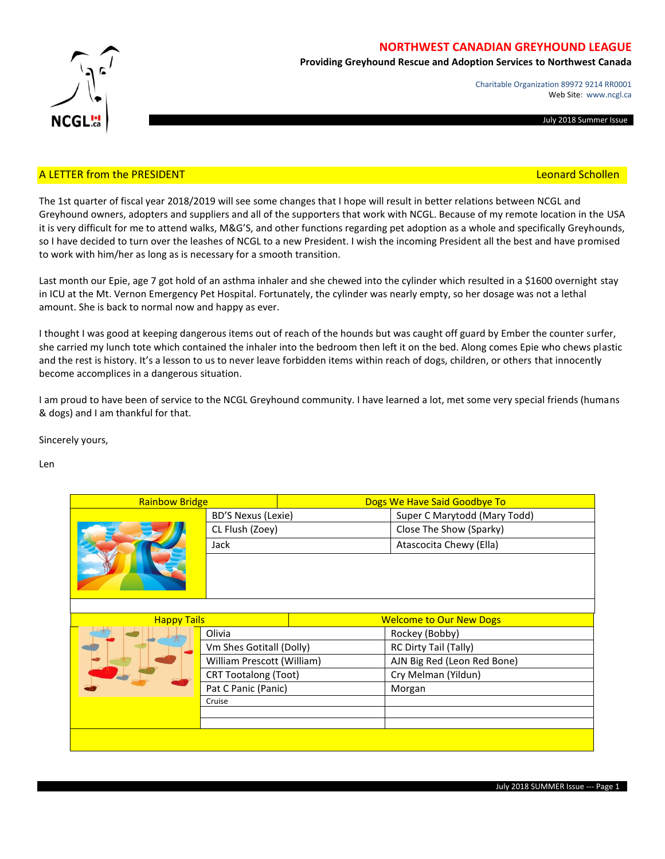

# **NORTHWEST CANADIAN GREYHOUND LEAGUE**

**Providing Greyhound Rescue and Adoption Services to Northwest Canada**

Charitable Organization 89972 9214 RR0001 Web Site: www.ncgl.ca

July 2018 Summer Issue

## A LETTER from the PRESIDENT **Example 2008** 2014 12:00 A LETTER from the PRESIDENT **Leonard Schollen**

The 1st quarter of fiscal year 2018/2019 will see some changes that I hope will result in better relations between NCGL and Greyhound owners, adopters and suppliers and all of the supporters that work with NCGL. Because of my remote location in the USA it is very difficult for me to attend walks, M&G'S, and other functions regarding pet adoption as a whole and specifically Greyhounds, so I have decided to turn over the leashes of NCGL to a new President. I wish the incoming President all the best and have promised to work with him/her as long as is necessary for a smooth transition.

Last month our Epie, age 7 got hold of an asthma inhaler and she chewed into the cylinder which resulted in a \$1600 overnight stay in ICU at the Mt. Vernon Emergency Pet Hospital. Fortunately, the cylinder was nearly empty, so her dosage was not a lethal amount. She is back to normal now and happy as ever.

I thought I was good at keeping dangerous items out of reach of the hounds but was caught off guard by Ember the counter surfer, she carried my lunch tote which contained the inhaler into the bedroom then left it on the bed. Along comes Epie who chews plastic and the rest is history. It's a lesson to us to never leave forbidden items within reach of dogs, children, or others that innocently become accomplices in a dangerous situation.

I am proud to have been of service to the NCGL Greyhound community. I have learned a lot, met some very special friends (humans & dogs) and I am thankful for that.

Sincerely yours,

Len

| <b>Rainbow Bridge</b> |                             | Dogs We Have Said Goodbye To   |                              |  |
|-----------------------|-----------------------------|--------------------------------|------------------------------|--|
|                       | <b>BD'S Nexus (Lexie)</b>   |                                | Super C Marytodd (Mary Todd) |  |
|                       | CL Flush (Zoey)             |                                | Close The Show (Sparky)      |  |
|                       | Jack                        |                                | Atascocita Chewy (Ella)      |  |
|                       |                             |                                |                              |  |
|                       |                             |                                |                              |  |
| <b>Happy Tails</b>    |                             | <b>Welcome to Our New Dogs</b> |                              |  |
|                       | Olivia                      |                                | Rockey (Bobby)               |  |
|                       | Vm Shes Gotitall (Dolly)    |                                | RC Dirty Tail (Tally)        |  |
|                       | William Prescott (William)  |                                | AJN Big Red (Leon Red Bone)  |  |
|                       | <b>CRT Tootalong (Toot)</b> |                                | Cry Melman (Yildun)          |  |
|                       | Pat C Panic (Panic)         |                                | Morgan                       |  |
|                       | Cruise                      |                                |                              |  |
|                       |                             |                                |                              |  |
|                       |                             |                                |                              |  |
|                       |                             |                                |                              |  |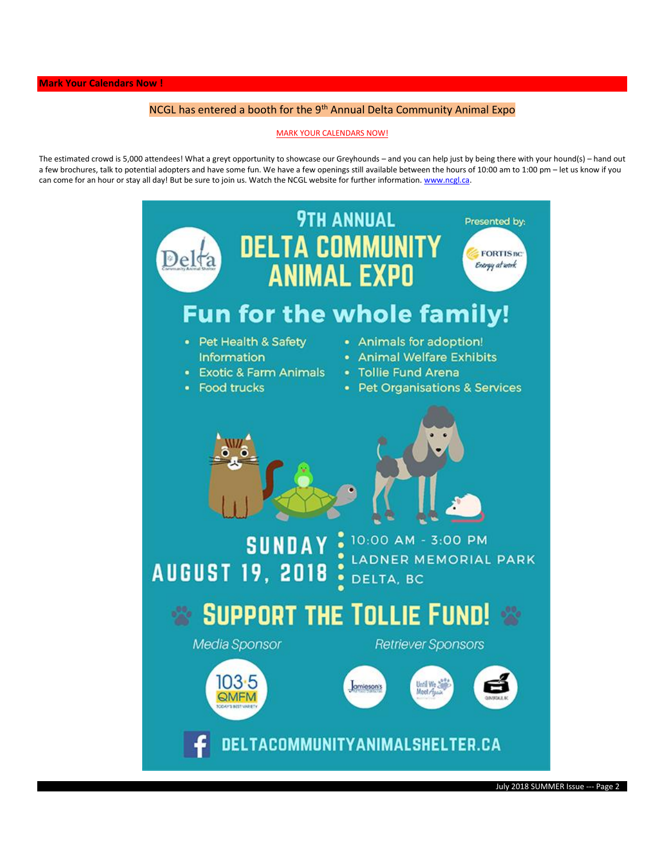# NCGL has entered a booth for the 9<sup>th</sup> Annual Delta Community Animal Expo

#### MARK YOUR CALENDARS NOW!

The estimated crowd is 5,000 attendees! What a greyt opportunity to showcase our Greyhounds – and you can help just by being there with your hound(s) – hand out a few brochures, talk to potential adopters and have some fun. We have a few openings still available between the hours of 10:00 am to 1:00 pm – let us know if you can come for an hour or stay all day! But be sure to join us. Watch the NCGL website for further information[. www.ncgl.ca.](http://www.ncgl.ca/)

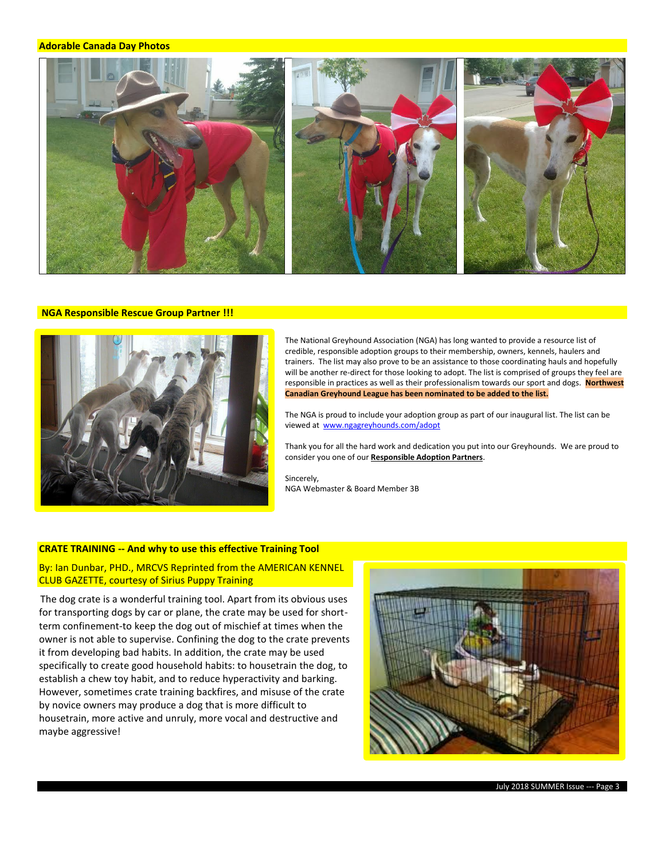#### **Adorable Canada Day Photos**



#### **NGA Responsible Rescue Group Partner !!!**



The National Greyhound Association (NGA) has long wanted to provide a resource list of credible, responsible adoption groups to their membership, owners, kennels, haulers and trainers. The list may also prove to be an assistance to those coordinating hauls and hopefully will be another re-direct for those looking to adopt. The list is comprised of groups they feel are responsible in practices as well as their professionalism towards our sport and dogs. **Northwest Canadian Greyhound League has been nominated to be added to the list.**

The NGA is proud to include your adoption group as part of our inaugural list. The list can be viewed at [www.ngagreyhounds.com/adopt](http://www.ngagreyhounds.com/adopt) 

Thank you for all the hard work and dedication you put into our Greyhounds. We are proud to consider you one of our **Responsible Adoption Partners**.

Sincerely, NGA Webmaster & Board Member 3B

### **CRATE TRAINING -- And why to use this effective Training Tool**

By: Ian Dunbar, PHD., MRCVS Reprinted from the AMERICAN KENNEL CLUB GAZETTE, courtesy of Sirius Puppy Training

The dog crate is a wonderful training tool. Apart from its obvious uses for transporting dogs by car or plane, the crate may be used for shortterm confinement-to keep the dog out of mischief at times when the owner is not able to supervise. Confining the dog to the crate prevents it from developing bad habits. In addition, the crate may be used specifically to create good household habits: to housetrain the dog, to establish a chew toy habit, and to reduce hyperactivity and barking. However, sometimes crate training backfires, and misuse of the crate by novice owners may produce a dog that is more difficult to housetrain, more active and unruly, more vocal and destructive and maybe aggressive!

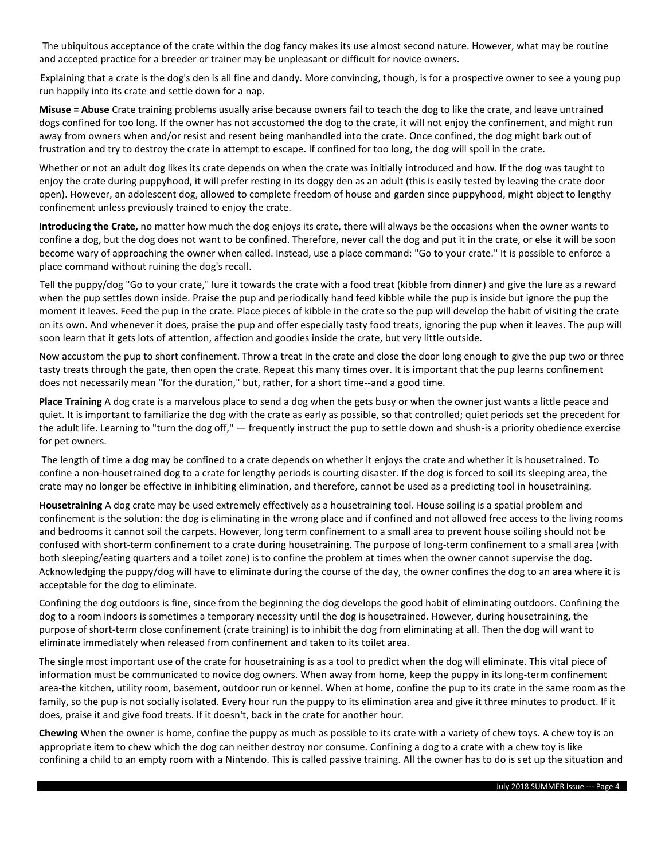The ubiquitous acceptance of the crate within the dog fancy makes its use almost second nature. However, what may be routine and accepted practice for a breeder or trainer may be unpleasant or difficult for novice owners.

Explaining that a crate is the dog's den is all fine and dandy. More convincing, though, is for a prospective owner to see a young pup run happily into its crate and settle down for a nap.

**Misuse = Abuse** Crate training problems usually arise because owners fail to teach the dog to like the crate, and leave untrained dogs confined for too long. If the owner has not accustomed the dog to the crate, it will not enjoy the confinement, and might run away from owners when and/or resist and resent being manhandled into the crate. Once confined, the dog might bark out of frustration and try to destroy the crate in attempt to escape. If confined for too long, the dog will spoil in the crate.

Whether or not an adult dog likes its crate depends on when the crate was initially introduced and how. If the dog was taught to enjoy the crate during puppyhood, it will prefer resting in its doggy den as an adult (this is easily tested by leaving the crate door open). However, an adolescent dog, allowed to complete freedom of house and garden since puppyhood, might object to lengthy confinement unless previously trained to enjoy the crate.

**Introducing the Crate,** no matter how much the dog enjoys its crate, there will always be the occasions when the owner wants to confine a dog, but the dog does not want to be confined. Therefore, never call the dog and put it in the crate, or else it will be soon become wary of approaching the owner when called. Instead, use a place command: "Go to your crate." It is possible to enforce a place command without ruining the dog's recall.

Tell the puppy/dog "Go to your crate," lure it towards the crate with a food treat (kibble from dinner) and give the lure as a reward when the pup settles down inside. Praise the pup and periodically hand feed kibble while the pup is inside but ignore the pup the moment it leaves. Feed the pup in the crate. Place pieces of kibble in the crate so the pup will develop the habit of visiting the crate on its own. And whenever it does, praise the pup and offer especially tasty food treats, ignoring the pup when it leaves. The pup will soon learn that it gets lots of attention, affection and goodies inside the crate, but very little outside.

Now accustom the pup to short confinement. Throw a treat in the crate and close the door long enough to give the pup two or three tasty treats through the gate, then open the crate. Repeat this many times over. It is important that the pup learns confinement does not necessarily mean "for the duration," but, rather, for a short time--and a good time.

**Place Training** A dog crate is a marvelous place to send a dog when the gets busy or when the owner just wants a little peace and quiet. It is important to familiarize the dog with the crate as early as possible, so that controlled; quiet periods set the precedent for the adult life. Learning to "turn the dog off," — frequently instruct the pup to settle down and shush-is a priority obedience exercise for pet owners.

The length of time a dog may be confined to a crate depends on whether it enjoys the crate and whether it is housetrained. To confine a non-housetrained dog to a crate for lengthy periods is courting disaster. If the dog is forced to soil its sleeping area, the crate may no longer be effective in inhibiting elimination, and therefore, cannot be used as a predicting tool in housetraining.

**Housetraining** A dog crate may be used extremely effectively as a housetraining tool. House soiling is a spatial problem and confinement is the solution: the dog is eliminating in the wrong place and if confined and not allowed free access to the living rooms and bedrooms it cannot soil the carpets. However, long term confinement to a small area to prevent house soiling should not be confused with short-term confinement to a crate during housetraining. The purpose of long-term confinement to a small area (with both sleeping/eating quarters and a toilet zone) is to confine the problem at times when the owner cannot supervise the dog. Acknowledging the puppy/dog will have to eliminate during the course of the day, the owner confines the dog to an area where it is acceptable for the dog to eliminate.

Confining the dog outdoors is fine, since from the beginning the dog develops the good habit of eliminating outdoors. Confining the dog to a room indoors is sometimes a temporary necessity until the dog is housetrained. However, during housetraining, the purpose of short-term close confinement (crate training) is to inhibit the dog from eliminating at all. Then the dog will want to eliminate immediately when released from confinement and taken to its toilet area.

The single most important use of the crate for housetraining is as a tool to predict when the dog will eliminate. This vital piece of information must be communicated to novice dog owners. When away from home, keep the puppy in its long-term confinement area-the kitchen, utility room, basement, outdoor run or kennel. When at home, confine the pup to its crate in the same room as the family, so the pup is not socially isolated. Every hour run the puppy to its elimination area and give it three minutes to product. If it does, praise it and give food treats. If it doesn't, back in the crate for another hour.

**Chewing** When the owner is home, confine the puppy as much as possible to its crate with a variety of chew toys. A chew toy is an appropriate item to chew which the dog can neither destroy nor consume. Confining a dog to a crate with a chew toy is like confining a child to an empty room with a Nintendo. This is called passive training. All the owner has to do is set up the situation and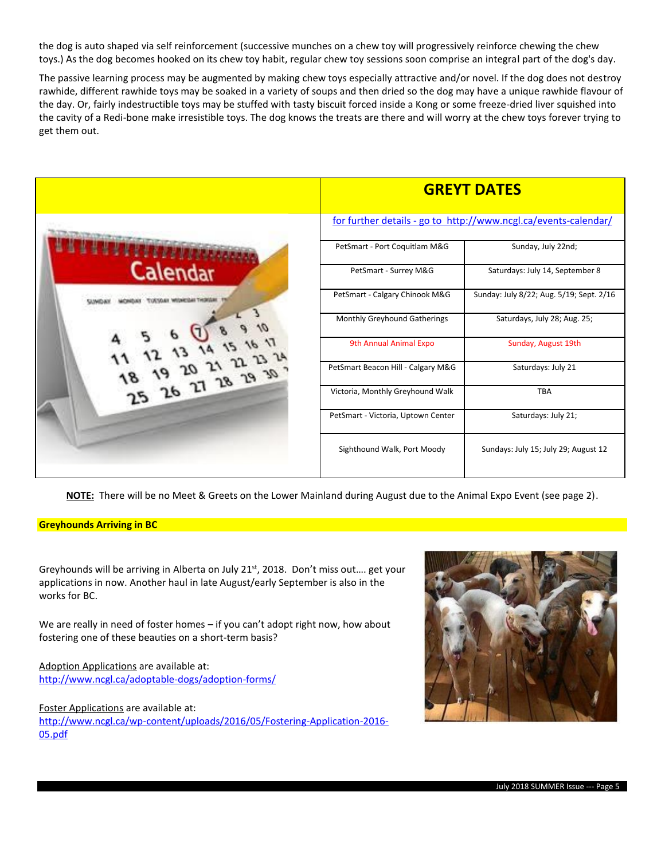the dog is auto shaped via self reinforcement (successive munches on a chew toy will progressively reinforce chewing the chew toys.) As the dog becomes hooked on its chew toy habit, regular chew toy sessions soon comprise an integral part of the dog's day.

The passive learning process may be augmented by making chew toys especially attractive and/or novel. If the dog does not destroy rawhide, different rawhide toys may be soaked in a variety of soups and then dried so the dog may have a unique rawhide flavour of the day. Or, fairly indestructible toys may be stuffed with tasty biscuit forced inside a Kong or some freeze-dried liver squished into the cavity of a Redi-bone make irresistible toys. The dog knows the treats are there and will worry at the chew toys forever trying to get them out.

|                    | <b>GREYT DATES</b>                                              |                                          |  |
|--------------------|-----------------------------------------------------------------|------------------------------------------|--|
|                    | for further details - go to http://www.ncgl.ca/events-calendar/ |                                          |  |
|                    | PetSmart - Port Coquitlam M&G                                   | Sunday, July 22nd;                       |  |
| Calendar           | PetSmart - Surrey M&G                                           | Saturdays: July 14, September 8          |  |
|                    | PetSmart - Calgary Chinook M&G                                  | Sunday: July 8/22; Aug. 5/19; Sept. 2/16 |  |
|                    | Monthly Greyhound Gatherings                                    | Saturdays, July 28; Aug. 25;             |  |
|                    | 9th Annual Animal Expo                                          | Sunday, August 19th                      |  |
| 1.5 26 27 28 29 30 | PetSmart Beacon Hill - Calgary M&G                              | Saturdays: July 21                       |  |
|                    | Victoria, Monthly Greyhound Walk                                | <b>TBA</b>                               |  |
|                    | PetSmart - Victoria, Uptown Center                              | Saturdays: July 21;                      |  |
|                    | Sighthound Walk, Port Moody                                     | Sundays: July 15; July 29; August 12     |  |

**NOTE:** There will be no Meet & Greets on the Lower Mainland during August due to the Animal Expo Event (see page 2).

#### **Greyhounds Arriving in BC**

Greyhounds will be arriving in Alberta on July 21<sup>st</sup>, 2018. Don't miss out.... get your applications in now. Another haul in late August/early September is also in the works for BC.

We are really in need of foster homes – if you can't adopt right now, how about fostering one of these beauties on a short-term basis?

Adoption Applications are available at: <http://www.ncgl.ca/adoptable-dogs/adoption-forms/>

Foster Applications are available at:

[http://www.ncgl.ca/wp-content/uploads/2016/05/Fostering-Application-2016-](http://www.ncgl.ca/wp-content/uploads/2016/05/Fostering-Application-2016-05.pdf) [05.pdf](http://www.ncgl.ca/wp-content/uploads/2016/05/Fostering-Application-2016-05.pdf)